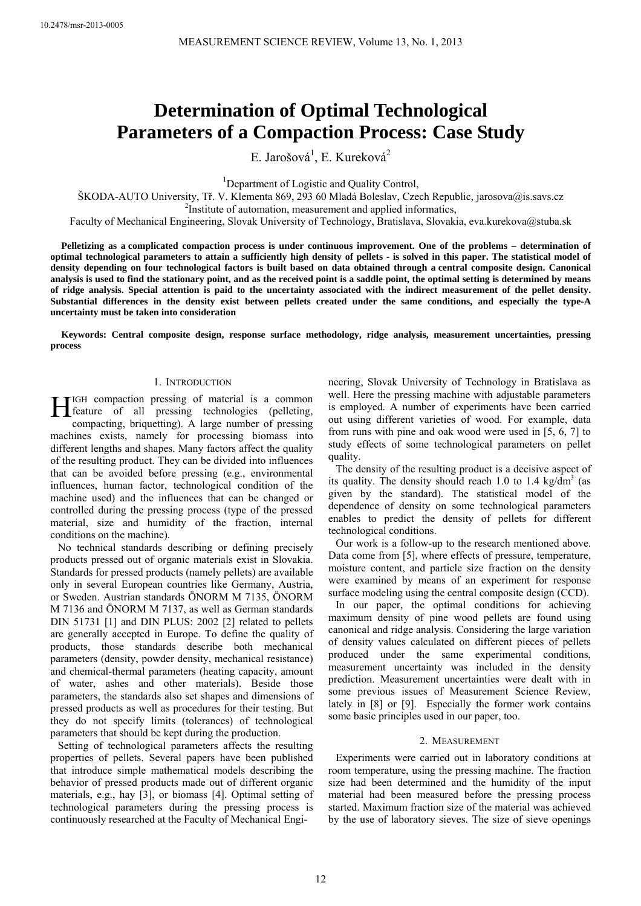# **Determination of Optimal Technological Parameters of a Compaction Process: Case Study**

E. Jarošová<sup>1</sup>, E. Kureková<sup>2</sup>

<sup>1</sup>Department of Logistic and Quality Control,

ŠKODA-AUTO University, Tř. V. Klementa 869, 293 60 Mladá Boleslav, Czech Republic, jarosova@is.savs.cz 2

<sup>2</sup>Institute of automation, measurement and applied informatics,

Faculty of Mechanical Engineering, Slovak University of Technology, Bratislava, Slovakia, eva.kurekova@stuba.sk

**Pelletizing as a complicated compaction process is under continuous improvement. One of the problems – determination of optimal technological parameters to attain a sufficiently high density of pellets - is solved in this paper. The statistical model of density depending on four technological factors is built based on data obtained through a central composite design. Canonical analysis is used to find the stationary point, and as the received point is a saddle point, the optimal setting is determined by means of ridge analysis. Special attention is paid to the uncertainty associated with the indirect measurement of the pellet density. Substantial differences in the density exist between pellets created under the same conditions, and especially the type-A uncertainty must be taken into consideration** 

**Keywords: Central composite design, response surface methodology, ridge analysis, measurement uncertainties, pressing process** 

### 1. INTRODUCTION

IGH compaction pressing of material is a common  $\prod_{\text{feature of all pressing techniques}}$  (pelleting, separation between the pressing technologies (pelleting, compacting, briquetting). A large number of pressing machines exists, namely for processing biomass into different lengths and shapes. Many factors affect the quality of the resulting product. They can be divided into influences that can be avoided before pressing (e.g., environmental influences, human factor, technological condition of the machine used) and the influences that can be changed or controlled during the pressing process (type of the pressed material, size and humidity of the fraction, internal conditions on the machine).

No technical standards describing or defining precisely products pressed out of organic materials exist in Slovakia. Standards for pressed products (namely pellets) are available only in several European countries like Germany, Austria, or Sweden. Austrian standards ÖNORM M 7135, ÖNORM M 7136 and ÖNORM M 7137, as well as German standards DIN 51731 [1] and DIN PLUS: 2002 [2] related to pellets are generally accepted in Europe. To define the quality of products, those standards describe both mechanical parameters (density, powder density, mechanical resistance) and chemical-thermal parameters (heating capacity, amount of water, ashes and other materials). Beside those parameters, the standards also set shapes and dimensions of pressed products as well as procedures for their testing. But they do not specify limits (tolerances) of technological parameters that should be kept during the production.

Setting of technological parameters affects the resulting properties of pellets. Several papers have been published that introduce simple mathematical models describing the behavior of pressed products made out of different organic materials, e.g., hay [3], or biomass [4]. Optimal setting of technological parameters during the pressing process is continuously researched at the Faculty of Mechanical Engineering, Slovak University of Technology in Bratislava as well. Here the pressing machine with adjustable parameters is employed. A number of experiments have been carried out using different varieties of wood. For example, data from runs with pine and oak wood were used in [5, 6, 7] to study effects of some technological parameters on pellet quality.

The density of the resulting product is a decisive aspect of its quality. The density should reach 1.0 to 1.4 kg/dm<sup>3</sup> (as given by the standard). The statistical model of the dependence of density on some technological parameters enables to predict the density of pellets for different technological conditions.

Our work is a follow-up to the research mentioned above. Data come from [5], where effects of pressure, temperature, moisture content, and particle size fraction on the density were examined by means of an experiment for response surface modeling using the central composite design (CCD).

In our paper, the optimal conditions for achieving maximum density of pine wood pellets are found using canonical and ridge analysis. Considering the large variation of density values calculated on different pieces of pellets produced under the same experimental conditions, measurement uncertainty was included in the density prediction. Measurement uncertainties were dealt with in some previous issues of Measurement Science Review, lately in [8] or [9]. Especially the former work contains some basic principles used in our paper, too.

## 2. MEASUREMENT

Experiments were carried out in laboratory conditions at room temperature, using the pressing machine. The fraction size had been determined and the humidity of the input material had been measured before the pressing process started. Maximum fraction size of the material was achieved by the use of laboratory sieves. The size of sieve openings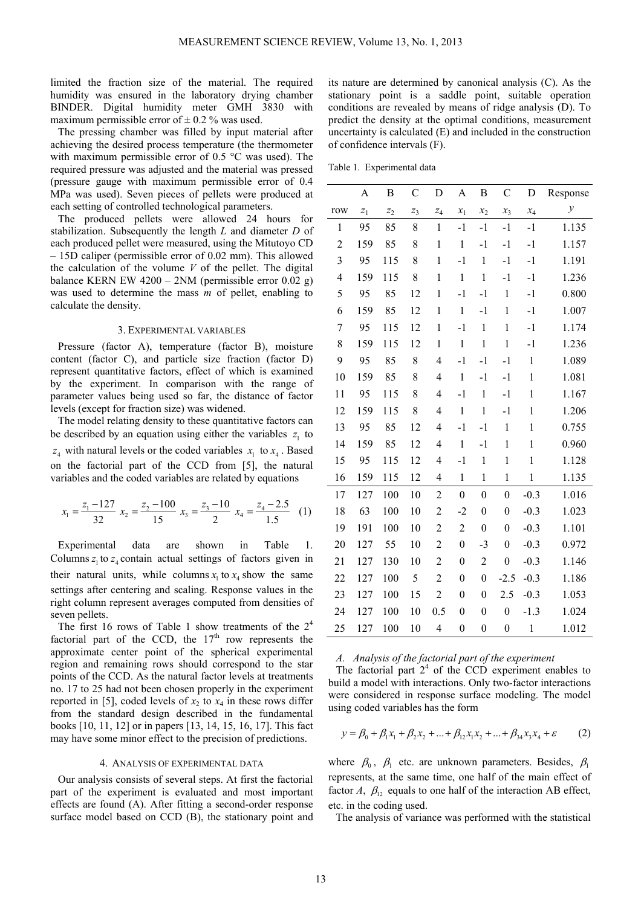limited the fraction size of the material. The required humidity was ensured in the laboratory drying chamber BINDER. Digital humidity meter GMH 3830 with maximum permissible error of  $\pm$  0.2 % was used.

The pressing chamber was filled by input material after achieving the desired process temperature (the thermometer with maximum permissible error of 0.5 °C was used). The required pressure was adjusted and the material was pressed (pressure gauge with maximum permissible error of 0.4 MPa was used). Seven pieces of pellets were produced at each setting of controlled technological parameters.

The produced pellets were allowed 24 hours for stabilization. Subsequently the length *L* and diameter *D* of each produced pellet were measured, using the Mitutoyo CD – 15D caliper (permissible error of 0.02 mm). This allowed the calculation of the volume *V* of the pellet. The digital balance KERN EW  $4200 - 2NM$  (permissible error  $0.02$  g) was used to determine the mass *m* of pellet, enabling to calculate the density.

## 3. EXPERIMENTAL VARIABLES

Pressure (factor A), temperature (factor B), moisture content (factor C), and particle size fraction (factor D) represent quantitative factors, effect of which is examined by the experiment. In comparison with the range of parameter values being used so far, the distance of factor levels (except for fraction size) was widened.

The model relating density to these quantitative factors can be described by an equation using either the variables  $z<sub>1</sub>$  to  $z_4$  with natural levels or the coded variables  $x_1$  to  $x_4$ . Based on the factorial part of the CCD from [5], the natural variables and the coded variables are related by equations

$$
x_1 = \frac{z_1 - 127}{32} x_2 = \frac{z_2 - 100}{15} x_3 = \frac{z_3 - 10}{2} x_4 = \frac{z_4 - 2.5}{1.5} (1)
$$

Experimental data are shown in Table 1. Columns  $z_1$  to  $z_4$  contain actual settings of factors given in their natural units, while columns  $x_1$  to  $x_4$  show the same settings after centering and scaling. Response values in the right column represent averages computed from densities of seven pellets.

The first 16 rows of Table 1 show treatments of the  $2<sup>4</sup>$ factorial part of the CCD, the  $17<sup>th</sup>$  row represents the approximate center point of the spherical experimental region and remaining rows should correspond to the star points of the CCD. As the natural factor levels at treatments no. 17 to 25 had not been chosen properly in the experiment reported in [5], coded levels of  $x_2$  to  $x_4$  in these rows differ from the standard design described in the fundamental books [10, 11, 12] or in papers [13, 14, 15, 16, 17]. This fact may have some minor effect to the precision of predictions.

#### 4. ANALYSIS OF EXPERIMENTAL DATA

Our analysis consists of several steps. At first the factorial part of the experiment is evaluated and most important effects are found (A). After fitting a second-order response surface model based on CCD (B), the stationary point and its nature are determined by canonical analysis (C). As the stationary point is a saddle point, suitable operation conditions are revealed by means of ridge analysis (D). To predict the density at the optimal conditions, measurement uncertainty is calculated (E) and included in the construction of confidence intervals (F).

|                | A                | B     | $\mathcal{C}$    | D                        | $\mathbf{A}$     | B                | $\mathsf{C}$     | D            | Response     |
|----------------|------------------|-------|------------------|--------------------------|------------------|------------------|------------------|--------------|--------------|
| row            | $\overline{z}_1$ | $z_2$ | $\overline{z}_3$ | $\overline{z}_4$         | $x_1$            | $x_2$            | $x_3$            | $x_4$        | $\mathcal Y$ |
| 1              | 95               | 85    | 8                | $\mathbf{1}$             | $-1$             | $-1$             | $-1$             | $-1$         | 1.135        |
| $\overline{2}$ | 159              | 85    | 8                | $\,1$                    | $\,1$            | $-1$             | $-1$             | $-1$         | 1.157        |
| 3              | 95               | 115   | 8                | $\mathbf{1}$             | $-1$             | $\,1$            | $-1$             | $-1$         | 1.191        |
| $\overline{4}$ | 159              | 115   | 8                | $\mathbf{1}$             | $\mathbf{1}$     | $\mathbf{1}$     | $-1$             | $-1$         | 1.236        |
| 5              | 95               | 85    | 12               | $\,1$                    | $-1$             | $-1$             | $\mathbf{1}$     | $-1$         | 0.800        |
| 6              | 159              | 85    | 12               | $\,1$                    | $\,1$            | $-1$             | $\mathbf{1}$     | $-1$         | 1.007        |
| 7              | 95               | 115   | 12               | $\mathbf{1}$             | $-1$             | $\mathbf{1}$     | $\mathbf{1}$     | $-1$         | 1.174        |
| 8              | 159              | 115   | 12               | $\mathbf 1$              | $\mathbf{1}$     | $\,1$            | $\mathbf{1}$     | $-1$         | 1.236        |
| 9              | 95               | 85    | 8                | $\overline{\mathcal{L}}$ | $-1$             | $-1$             | $-1$             | $\mathbf{1}$ | 1.089        |
| 10             | 159              | 85    | 8                | $\overline{\mathcal{L}}$ | $\mathbf 1$      | $-1$             | $-1$             | $\mathbf{1}$ | 1.081        |
| 11             | 95               | 115   | 8                | $\overline{4}$           | $-1$             | $\mathbf 1$      | $-1$             | $\mathbf{1}$ | 1.167        |
| 12             | 159              | 115   | 8                | 4                        | $\mathbf{1}$     | $\mathbf{1}$     | $-1$             | $\mathbf{1}$ | 1.206        |
| 13             | 95               | 85    | 12               | $\overline{\mathcal{A}}$ | $-1$             | $-1$             | $\mathbf{1}$     | $\mathbf{1}$ | 0.755        |
| 14             | 159              | 85    | 12               | $\overline{\mathcal{A}}$ | $\mathbf 1$      | $-1$             | $\mathbf{1}$     | $\mathbf{1}$ | 0.960        |
| 15             | 95               | 115   | 12               | 4                        | $-1$             | $\mathbf{1}$     | $\mathbf{1}$     | $\mathbf{1}$ | 1.128        |
| 16             | 159              | 115   | 12               | $\overline{\mathcal{A}}$ | $\mathbf{1}$     | $\,1$            | $\mathbf{1}$     | $\mathbf{1}$ | 1.135        |
| 17             | 127              | 100   | 10               | $\overline{2}$           | $\boldsymbol{0}$ | $\boldsymbol{0}$ | $\boldsymbol{0}$ | $-0.3$       | 1.016        |
| 18             | 63               | 100   | 10               | $\overline{c}$           | $-2$             | $\boldsymbol{0}$ | $\boldsymbol{0}$ | $-0.3$       | 1.023        |
| 19             | 191              | 100   | 10               | $\overline{c}$           | $\overline{c}$   | $\mathbf{0}$     | $\boldsymbol{0}$ | $-0.3$       | 1.101        |
| 20             | 127              | 55    | 10               | $\overline{c}$           | $\boldsymbol{0}$ | $-3$             | 0                | $-0.3$       | 0.972        |
| 21             | 127              | 130   | 10               | $\overline{c}$           | $\boldsymbol{0}$ | $\overline{2}$   | $\boldsymbol{0}$ | $-0.3$       | 1.146        |
| 22             | 127              | 100   | 5                | $\overline{2}$           | 0                | $\boldsymbol{0}$ | $-2.5$           | $-0.3$       | 1.186        |
| 23             | 127              | 100   | 15               | $\overline{2}$           | $\boldsymbol{0}$ | $\boldsymbol{0}$ | 2.5              | $-0.3$       | 1.053        |
| 24             | 127              | 100   | 10               | 0.5                      | $\boldsymbol{0}$ | $\boldsymbol{0}$ | $\boldsymbol{0}$ | $-1.3$       | 1.024        |
| 25             | 127              | 100   | 10               | $\overline{4}$           | $\boldsymbol{0}$ | $\boldsymbol{0}$ | $\boldsymbol{0}$ | $\mathbf{1}$ | 1.012        |

## *A. Analysis of the factorial part of the experiment*

The factorial part  $2<sup>4</sup>$  of the CCD experiment enables to build a model with interactions. Only two-factor interactions were considered in response surface modeling. The model using coded variables has the form

$$
y = \beta_0 + \beta_1 x_1 + \beta_2 x_2 + \dots + \beta_{12} x_1 x_2 + \dots + \beta_{34} x_3 x_4 + \varepsilon \tag{2}
$$

where  $\beta_0$ ,  $\beta_1$  etc. are unknown parameters. Besides,  $\beta_1$ represents, at the same time, one half of the main effect of factor *A*,  $\beta_1$ , equals to one half of the interaction AB effect, etc. in the coding used.

The analysis of variance was performed with the statistical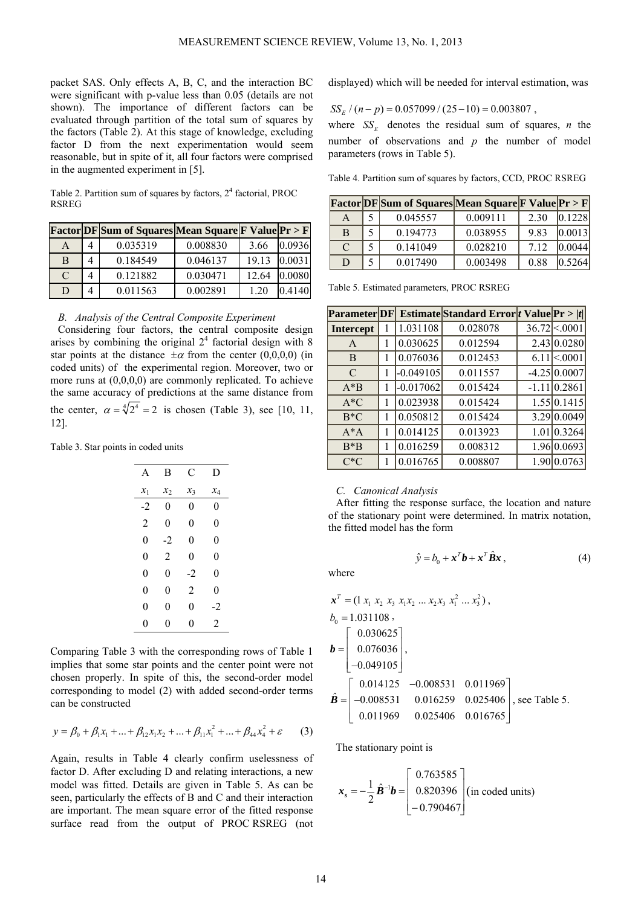packet SAS. Only effects A, B, C, and the interaction BC were significant with p-value less than 0.05 (details are not shown). The importance of different factors can be evaluated through partition of the total sum of squares by the factors (Table 2). At this stage of knowledge, excluding factor D from the next experimentation would seem reasonable, but in spite of it, all four factors were comprised in the augmented experiment in [5].

Table 2. Partition sum of squares by factors,  $2<sup>4</sup>$  factorial, PROC RSREG

|   |   | <b>Factor DF Sum of Squares Mean Square F Value Pr &gt; F</b> |          |       |        |
|---|---|---------------------------------------------------------------|----------|-------|--------|
|   | 4 | 0.035319                                                      | 0.008830 | 3.66  | 0.0936 |
| B | 4 | 0.184549                                                      | 0.046137 | 19.13 | 0.0031 |
| C | 4 | 0.121882                                                      | 0.030471 | 12.64 | 0.0080 |
|   |   | 0.011563                                                      | 0.002891 |       |        |

## *B. Analysis of the Central Composite Experiment*

Considering four factors, the central composite design arises by combining the original  $2<sup>4</sup>$  factorial design with 8 star points at the distance  $\pm \alpha$  from the center (0,0,0,0) (in coded units) of the experimental region. Moreover, two or more runs at (0,0,0,0) are commonly replicated. To achieve the same accuracy of predictions at the same distance from the center,  $\alpha = \sqrt[4]{2^4} = 2$  is chosen (Table 3), see [10, 11, 12].

Table 3. Star points in coded units

| A              | В     | C               | D     |
|----------------|-------|-----------------|-------|
| $x_1$          | $x_2$ | $\mathcal{X}_3$ | $x_4$ |
| -2             | 0     | 0               | 0     |
| $\overline{2}$ | 0     | 0               | 0     |
| 0              | $-2$  | 0               | 0     |
| 0              | 2     | 0               | 0     |
| 0              | 0     | -2              | 0     |
| 0              | 0     | 2               | 0     |
| 0              | 0     | 0               | -2    |
| 0              | 0     | 0               | 2     |

Comparing Table 3 with the corresponding rows of Table 1 implies that some star points and the center point were not chosen properly. In spite of this, the second-order model corresponding to model (2) with added second-order terms can be constructed

$$
y = \beta_0 + \beta_1 x_1 + \dots + \beta_{12} x_1 x_2 + \dots + \beta_{11} x_1^2 + \dots + \beta_{44} x_4^2 + \varepsilon \tag{3}
$$

Again, results in Table 4 clearly confirm uselessness of factor D. After excluding D and relating interactions, a new model was fitted. Details are given in Table 5. As can be seen, particularly the effects of B and C and their interaction are important. The mean square error of the fitted response surface read from the output of PROC RSREG (not displayed) which will be needed for interval estimation, was

$$
SS_E / (n-p) = 0.057099 / (25-10) = 0.003807 ,
$$

where  $SS<sub>F</sub>$  denotes the residual sum of squares, *n* the number of observations and *p* the number of model parameters (rows in Table 5).

Table 4. Partition sum of squares by factors, CCD, PROC RSREG

|   |    | <b>Factor DF</b> Sum of Squares Mean Square F Value Pr > F |          |       |          |
|---|----|------------------------------------------------------------|----------|-------|----------|
| A | 5. | 0.045557                                                   | 0.009111 | 2.30  | [0.1228] |
| B | 5  | 0.194773                                                   | 0.038955 | 9.83  | [0.0013] |
| C | 5  | 0.141049                                                   | 0.028210 | 7 1 2 | 0.0044   |
| D |    | 0.017490                                                   | 0.003498 | 0.88  | 10.5264  |

Table 5. Estimated parameters, PROC RSREG

| <b>Parameter DF </b> |   |             | Estimate Standard Error tvalue $\Pr  t $ |                      |
|----------------------|---|-------------|------------------------------------------|----------------------|
| <b>Intercept</b>     |   | 1.031108    | 0.028078                                 | $36.72 \times 0001$  |
| $\mathsf{A}$         | 1 | 0.030625    | 0.012594                                 | 2.43 0.0280          |
| B                    |   | 0.076036    | 0.012453                                 | $6.11$ \ $\leq$ 0001 |
| $\mathcal{C}$        |   | $-0.049105$ | 0.011557                                 | $-4.25 0.0007$       |
| $A^*B$               |   | $-0.017062$ | 0.015424                                 | $-1.11 0.2861$       |
| $A*C$                |   | 0.023938    | 0.015424                                 | 1.55 0.1415          |
| $B*C$                |   | 0.050812    | 0.015424                                 | 3.29 0.0049          |
| $A^*A$               |   | 0.014125    | 0.013923                                 | 1.01 0.3264          |
| $B*B$                | 1 | 0.016259    | 0.008312                                 | 1.96 0.0693          |
| $C*C$                |   | 0.016765    | 0.008807                                 | 1.90 0.0763          |

## *C. Canonical Analysis*

After fitting the response surface, the location and nature of the stationary point were determined. In matrix notation, the fitted model has the form

 $\hat{v} = b_0 + x^T b + x^T \hat{B} x$ , (4)

where

$$
\mathbf{x}^{T} = (1 x_1 x_2 x_3 x_1 x_2 ... x_2 x_3 x_1^2 ... x_3^2),
$$
  
\n
$$
b_0 = 1.031108,
$$
  
\n
$$
\mathbf{b} = \begin{bmatrix} 0.030625 \\ 0.076036 \\ -0.049105 \end{bmatrix},
$$
  
\n
$$
\hat{\mathbf{B}} = \begin{bmatrix} 0.014125 & -0.008531 & 0.011969 \\ -0.008531 & 0.016259 & 0.025406 \\ 0.011969 & 0.025406 & 0.016765 \end{bmatrix}, \text{ see Table 5.}
$$

The stationary point is

$$
\boldsymbol{x}_s = -\frac{1}{2}\hat{\boldsymbol{B}}^{-1}\boldsymbol{b} = \begin{bmatrix} 0.763585 \\ 0.820396 \\ -0.790467 \end{bmatrix} \text{(in coded units)}
$$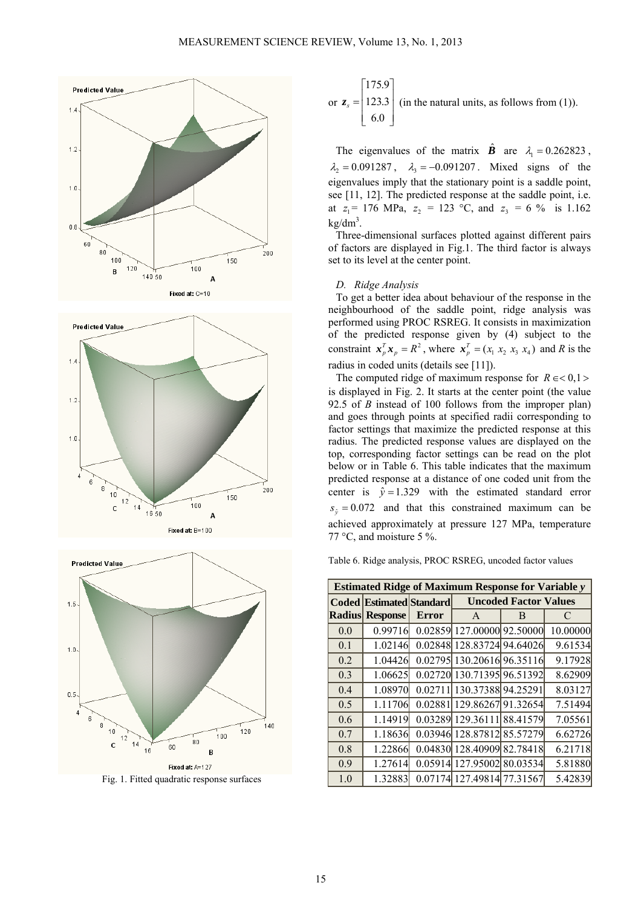





Fig. 1. Fitted quadratic response surfaces

or 
$$
z_s = \begin{bmatrix} 175.9 \\ 123.3 \\ 6.0 \end{bmatrix}
$$
 (in the natural units, as follows from (1)).

The eigenvalues of the matrix  $\hat{\mathbf{B}}$  are  $\lambda_1 = 0.262823$ ,  $\lambda_2 = 0.091287$ ,  $\lambda_3 = -0.091207$ . Mixed signs of the eigenvalues imply that the stationary point is a saddle point, see [11, 12]. The predicted response at the saddle point, i.e. at  $z_1 = 176$  MPa,  $z_2 = 123$  °C, and  $z_3 = 6$  % is 1.162  $kg/dm<sup>3</sup>$ .

Three-dimensional surfaces plotted against different pairs of factors are displayed in Fig.1. The third factor is always set to its level at the center point.

## *D. Ridge Analysis*

To get a better idea about behaviour of the response in the neighbourhood of the saddle point, ridge analysis was performed using PROC RSREG. It consists in maximization of the predicted response given by (4) subject to the constraint  $\mathbf{x}_p^T \mathbf{x}_p = R^2$ , where  $\mathbf{x}_p^T = (x_1 \ x_2 \ x_3 \ x_4)$  and R is the radius in coded units (details see [11]).

The computed ridge of maximum response for  $R \in < 0, 1 >$ is displayed in Fig. 2. It starts at the center point (the value 92.5 of *B* instead of 100 follows from the improper plan) and goes through points at specified radii corresponding to factor settings that maximize the predicted response at this radius. The predicted response values are displayed on the top, corresponding factor settings can be read on the plot below or in Table 6. This table indicates that the maximum predicted response at a distance of one coded unit from the center is  $\hat{v} = 1.329$  with the estimated standard error  $s<sub>\hat{g}</sub>$  = 0.072 and that this constrained maximum can be achieved approximately at pressure 127 MPa, temperature 77 °C, and moisture 5 %.

Table 6. Ridge analysis, PROC RSREG, uncoded factor values

| <b>Estimated Ridge of Maximum Response for Variable y</b> |                                                                 |              |                            |   |          |  |  |  |
|-----------------------------------------------------------|-----------------------------------------------------------------|--------------|----------------------------|---|----------|--|--|--|
|                                                           | <b>Uncoded Factor Values</b><br><b>Coded Estimated Standard</b> |              |                            |   |          |  |  |  |
|                                                           | <b>Radius Response</b>                                          | <b>Error</b> | A                          | B | C        |  |  |  |
| 0.0                                                       | 0.99716                                                         |              | 0.02859 127.00000 92.50000 |   | 10.00000 |  |  |  |
| 0.1                                                       | 1.02146                                                         | 0.02848      | 128.83724 94.64026         |   | 9.61534  |  |  |  |
| 0.2                                                       | 1.04426                                                         |              | 0.02795 130.20616 96.35116 |   | 9.17928  |  |  |  |
| 0.3                                                       | 1.06625                                                         |              | 0.02720 130.71395 96.51392 |   | 8.62909  |  |  |  |
| 0.4                                                       | 1.08970                                                         | 0.02711      | 130.37388 94.25291         |   | 8.03127  |  |  |  |
| 0.5                                                       | 1.11706                                                         |              | 0.02881 129.86267 91.32654 |   | 7.51494  |  |  |  |
| 0.6                                                       | 1.14919                                                         |              | 0.03289 129.36111 88.41579 |   | 7.05561  |  |  |  |
| 0.7                                                       | 1.18636                                                         |              | 0.03946 128.87812 85.57279 |   | 6.62726  |  |  |  |
| 0.8                                                       | 1.22866                                                         |              | 0.04830 128.40909 82.78418 |   | 6.21718  |  |  |  |
| 0.9                                                       | 1.27614                                                         |              | 0.05914 127.95002 80.03534 |   | 5.81880  |  |  |  |
| 1.0                                                       | 1.32883                                                         |              | 0.07174 127.49814 77.31567 |   | 5.42839  |  |  |  |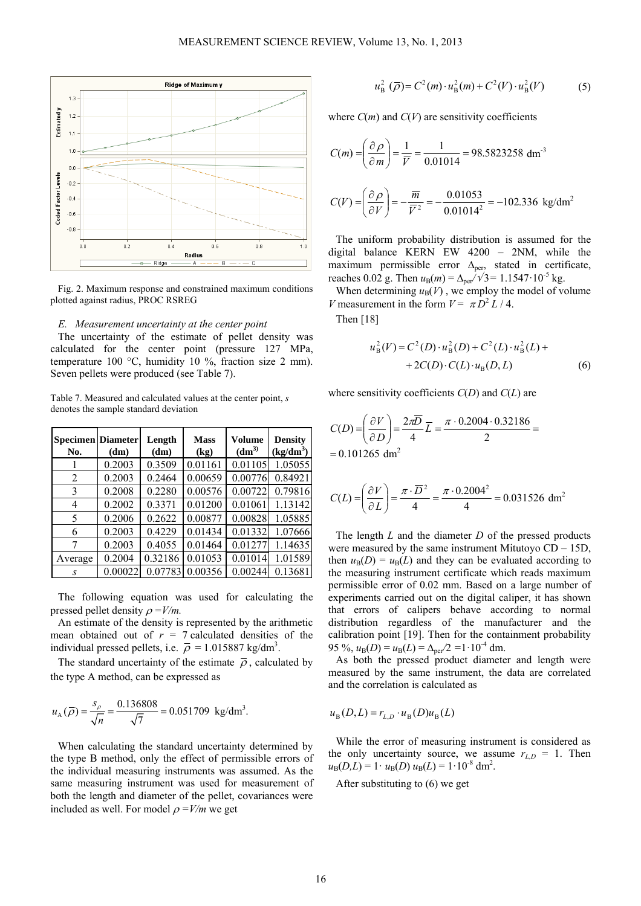

Fig. 2. Maximum response and constrained maximum conditions plotted against radius, PROC RSREG

#### *E. Measurement uncertainty at the center point*

The uncertainty of the estimate of pellet density was calculated for the center point (pressure 127 MPa, temperature 100 °C, humidity 10 %, fraction size 2 mm). Seven pellets were produced (see Table 7).

Table 7. Measured and calculated values at the center point, *s* denotes the sample standard deviation

| <b>Specimen</b> Diameter<br>No. | (dm)    | Length<br>(dm) | <b>Mass</b><br>(kg) | <b>Volume</b><br>(dm <sup>3</sup> ) | <b>Density</b><br>$(kg/dm^3)$ |
|---------------------------------|---------|----------------|---------------------|-------------------------------------|-------------------------------|
|                                 | 0.2003  | 0.3509         | 0.01161             | 0.01105                             | 1.05055                       |
| 2                               | 0.2003  | 0.2464         | 0.00659             | 0.00776                             | 0.84921                       |
| 3                               | 0.2008  | 0.2280         | 0.00576             | 0.00722                             | 0.79816                       |
| 4                               | 0.2002  | 0.3371         | 0.01200             | 0.01061                             | 1.13142                       |
| 5                               | 0.2006  | 0.2622         | 0.00877             | 0.00828                             | 1.05885                       |
| 6                               | 0.2003  | 0.4229         | 0.01434             | 0.01332                             | 1.07666                       |
| 7                               | 0.2003  | 0.4055         | 0.01464             | 0.01277                             | 1.14635                       |
| Average                         | 0.2004  | 0.32186        | 0.01053             | 0.01014                             | 1.01589                       |
| S                               | 0.00022 | 0.07783        | 0.00356             | 0.00244                             | 0.13681                       |

The following equation was used for calculating the pressed pellet density  $\rho = V/m$ .

An estimate of the density is represented by the arithmetic mean obtained out of  $r = 7$  calculated densities of the individual pressed pellets, i.e.  $\bar{\rho} = 1.015887 \text{ kg/dm}^3$ .

The standard uncertainty of the estimate  $\bar{\rho}$ , calculated by the type A method, can be expressed as

$$
u_{A}(\overline{\rho}) = \frac{s_{\rho}}{\sqrt{n}} = \frac{0.136808}{\sqrt{7}} = 0.051709 \text{ kg/dm}^3.
$$

When calculating the standard uncertainty determined by the type B method, only the effect of permissible errors of the individual measuring instruments was assumed. As the same measuring instrument was used for measurement of both the length and diameter of the pellet, covariances were included as well. For model  $\rho = V/m$  we get

$$
u_{\rm B}^2(\overline{\rho}) = C^2(m) \cdot u_{\rm B}^2(m) + C^2(V) \cdot u_{\rm B}^2(V) \tag{5}
$$

where  $C(m)$  and  $C(V)$  are sensitivity coefficients

$$
C(m) = \left(\frac{\partial \rho}{\partial m}\right) = \frac{1}{\overline{V}} = \frac{1}{0.01014} = 98.5823258 \text{ dm}^3
$$

$$
C(V) = \left(\frac{\partial \rho}{\partial V}\right) = -\frac{\overline{m}}{\overline{V}^2} = -\frac{0.01053}{0.01014^2} = -102.336 \text{ kg/dm}^2
$$

The uniform probability distribution is assumed for the digital balance KERN EW 4200 – 2NM, while the maximum permissible error  $\Delta_{\text{per}}$ , stated in certificate, reaches 0.02 g. Then  $u_B(m) = \Delta_{per}/\sqrt{3} = 1.1547 \cdot 10^{-5}$  kg.

When determining  $u_B(V)$ , we employ the model of volume *V* measurement in the form  $V = \pi D^2 L / 4$ .

Then [18]

$$
u_{\rm B}^{2}(V) = C^{2}(D) \cdot u_{\rm B}^{2}(D) + C^{2}(L) \cdot u_{\rm B}^{2}(L) ++ 2C(D) \cdot C(L) \cdot u_{\rm B}(D, L)
$$
 (6)

where sensitivity coefficients *C*(*D*) and *C*(*L*) are

$$
C(D) = \left(\frac{\partial V}{\partial D}\right) = \frac{2\pi\overline{D}}{4}\overline{L} = \frac{\pi \cdot 0.2004 \cdot 0.32186}{2} =
$$
  
= 0.101265 dm<sup>2</sup>

$$
C(L) = \left(\frac{\partial V}{\partial L}\right) = \frac{\pi \cdot \overline{D}^2}{4} = \frac{\pi \cdot 0.2004^2}{4} = 0.031526 \text{ dm}^2
$$

The length *L* and the diameter *D* of the pressed products were measured by the same instrument Mitutoyo CD – 15D, then  $u_B(D) = u_B(L)$  and they can be evaluated according to the measuring instrument certificate which reads maximum permissible error of 0.02 mm. Based on a large number of experiments carried out on the digital caliper, it has shown that errors of calipers behave according to normal distribution regardless of the manufacturer and the calibration point [19]. Then for the containment probability 95 %,  $u_{\text{B}}(D) = u_{\text{B}}(L) = \Delta_{\text{per}}/2 = 1 \cdot 10^{-4}$  dm.

As both the pressed product diameter and length were measured by the same instrument, the data are correlated and the correlation is calculated as

$$
u_{\mathrm{B}}(D, L) = r_{L, D} \cdot u_{\mathrm{B}}(D) u_{\mathrm{B}}(L)
$$

While the error of measuring instrument is considered as the only uncertainty source, we assume  $r_{L,D} = 1$ . Then  $u_{\text{B}}(D,L) = 1 \cdot u_{\text{B}}(D) u_{\text{B}}(L) = 1 \cdot 10^{-8} \text{ dm}^2$ .

After substituting to (6) we get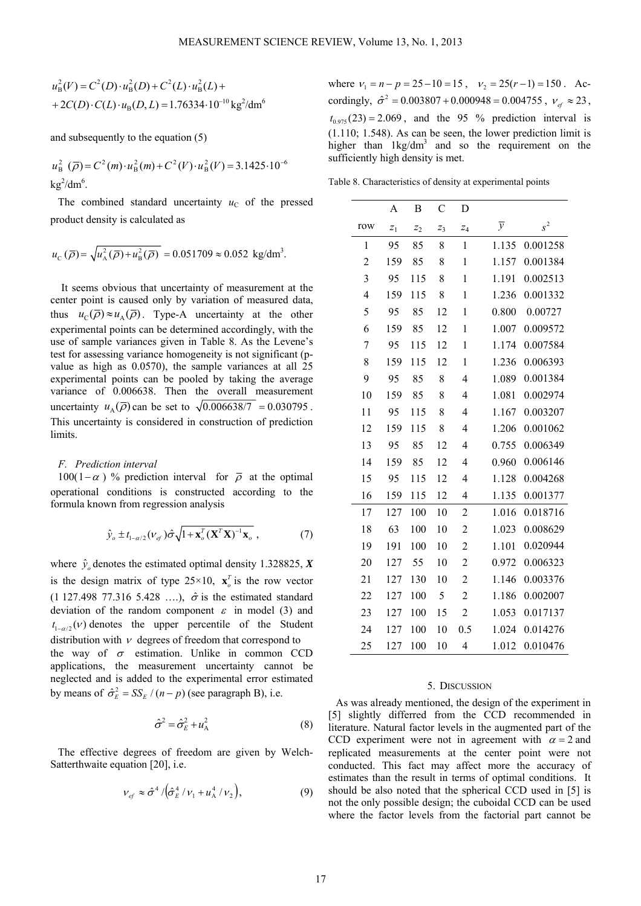$$
u_{\rm B}^{2}(V) = C^{2}(D) \cdot u_{\rm B}^{2}(D) + C^{2}(L) \cdot u_{\rm B}^{2}(L) +
$$
  
+2C(D) \cdot C(L) \cdot u\_{\rm B}(D, L) = 1.76334 \cdot 10^{-10} \text{ kg}^{2}/\text{dm}^{6}

and subsequently to the equation (5)

$$
u_{\rm B}^2(\overline{\rho}) = C^2(m) \cdot u_{\rm B}^2(m) + C^2(V) \cdot u_{\rm B}^2(V) = 3.1425 \cdot 10^{-6}
$$
  
kg<sup>2</sup>/dm<sup>6</sup>.

The combined standard uncertainty  $u<sub>C</sub>$  of the pressed product density is calculated as

$$
u_{\rm C}(\bar{\rho}) = \sqrt{u_{\rm A}^2(\bar{\rho}) + u_{\rm B}^2(\bar{\rho})} = 0.051709 \approx 0.052
$$
 kg/dm<sup>3</sup>.

It seems obvious that uncertainty of measurement at the center point is caused only by variation of measured data, thus  $u_{\rm C}(\overline{\rho}) \approx u_{\rm A}(\overline{\rho})$ . Type-A uncertainty at the other experimental points can be determined accordingly, with the use of sample variances given in Table 8. As the Levene's test for assessing variance homogeneity is not significant (pvalue as high as 0.0570), the sample variances at all 25 experimental points can be pooled by taking the average variance of 0.006638. Then the overall measurement uncertainty  $u_{\lambda}(\bar{\rho})$  can be set to  $\sqrt{0.006638/7} = 0.030795$ . This uncertainty is considered in construction of prediction limits.

#### *F. Prediction interval*

100(1− $\alpha$ ) % prediction interval for  $\overline{\rho}$  at the optimal operational conditions is constructed according to the formula known from regression analysis

$$
\hat{\mathcal{Y}}_o \pm t_{1-\alpha/2} (V_{ef}) \hat{\sigma} \sqrt{1 + \mathbf{x}_o^T (\mathbf{X}^T \mathbf{X})^{-1} \mathbf{x}_o} \,, \tag{7}
$$

where  $\hat{y}_o$  denotes the estimated optimal density 1.328825, *X* is the design matrix of type  $25 \times 10$ ,  $\mathbf{x}_o^T$  is the row vector (1 127.498 77.316 5.428 ....),  $\hat{\sigma}$  is the estimated standard deviation of the random component  $\varepsilon$  in model (3) and  $t_{1-\alpha/2}(\nu)$  denotes the upper percentile of the Student distribution with  $\nu$  degrees of freedom that correspond to the way of  $\sigma$  estimation. Unlike in common CCD applications, the measurement uncertainty cannot be neglected and is added to the experimental error estimated by means of  $\hat{\sigma}_E^2 = SS_E / (n-p)$  (see paragraph B), i.e.

$$
\hat{\sigma}^2 = \hat{\sigma}_E^2 + u_A^2 \tag{8}
$$

The effective degrees of freedom are given by Welch-Satterthwaite equation [20], i.e.

$$
V_{ef} \approx \hat{\sigma}^4 / (\hat{\sigma}_E^4 / v_1 + u_A^4 / v_2), \tag{9}
$$

where  $v_1 = n - p = 25 - 10 = 15$ ,  $v_2 = 25(r - 1) = 150$ . Accordingly,  $\hat{\sigma}^2 = 0.003807 + 0.000948 = 0.004755$ ,  $v_{ef} \approx 23$ ,  $t_{0.975}$ (23) = 2.069, and the 95 % prediction interval is (1.110; 1.548). As can be seen, the lower prediction limit is higher than  $1\text{kg/dm}^3$  and so the requirement on the sufficiently high density is met.

Table 8. Characteristics of density at experimental points

|                | A     | В     | C              | D                |                |          |
|----------------|-------|-------|----------------|------------------|----------------|----------|
| row            | $z_1$ | $z_2$ | $\mathbb{Z}_3$ | $\overline{z}_4$ | $\overline{y}$ | $s^2$    |
| 1              | 95    | 85    | 8              | 1                | 1.135          | 0.001258 |
| $\overline{c}$ | 159   | 85    | 8              | $\mathbf{1}$     | 1.157          | 0.001384 |
| 3              | 95    | 115   | 8              | 1                | 1.191          | 0.002513 |
| $\overline{4}$ | 159   | 115   | 8              | $\mathbf{1}$     | 1.236          | 0.001332 |
| 5              | 95    | 85    | 12             | 1                | 0.800          | 0.00727  |
| 6              | 159   | 85    | 12             | $\mathbf{1}$     | 1.007          | 0.009572 |
| 7              | 95    | 115   | 12             | $\mathbf{1}$     | 1.174          | 0.007584 |
| 8              | 159   | 115   | 12             | $\mathbf{1}$     | 1.236          | 0.006393 |
| 9              | 95    | 85    | 8              | 4                | 1.089          | 0.001384 |
| 10             | 159   | 85    | 8              | 4                | 1.081          | 0.002974 |
| 11             | 95    | 115   | 8              | 4                | 1.167          | 0.003207 |
| 12             | 159   | 115   | 8              | 4                | 1.206          | 0.001062 |
| 13             | 95    | 85    | 12             | 4                | 0.755          | 0.006349 |
| 14             | 159   | 85    | 12             | 4                | 0.960          | 0.006146 |
| 15             | 95    | 115   | 12             | 4                | 1.128          | 0.004268 |
| 16             | 159   | 115   | 12             | 4                | 1.135          | 0.001377 |
| 17             | 127   | 100   | 10             | $\overline{c}$   | 1.016          | 0.018716 |
| 18             | 63    | 100   | 10             | $\overline{c}$   | 1.023          | 0.008629 |
| 19             | 191   | 100   | 10             | $\overline{c}$   | 1.101          | 0.020944 |
| 20             | 127   | 55    | 10             | $\overline{c}$   | 0.972          | 0.006323 |
| 21             | 127   | 130   | 10             | $\overline{c}$   | 1.146          | 0.003376 |
| 22             | 127   | 100   | 5              | $\overline{c}$   | 1.186          | 0.002007 |
| 23             | 127   | 100   | 15             | $\overline{2}$   | 1.053          | 0.017137 |
| 24             | 127   | 100   | 10             | 0.5              | 1.024          | 0.014276 |
| 25             | 127   | 100   | 10             | 4                | 1.012          | 0.010476 |

### 5. DISCUSSION

As was already mentioned, the design of the experiment in [5] slightly differred from the CCD recommended in literature. Natural factor levels in the augmented part of the CCD experiment were not in agreement with  $\alpha = 2$  and replicated measurements at the center point were not conducted. This fact may affect more the accuracy of estimates than the result in terms of optimal conditions. It should be also noted that the spherical CCD used in [5] is not the only possible design; the cuboidal CCD can be used where the factor levels from the factorial part cannot be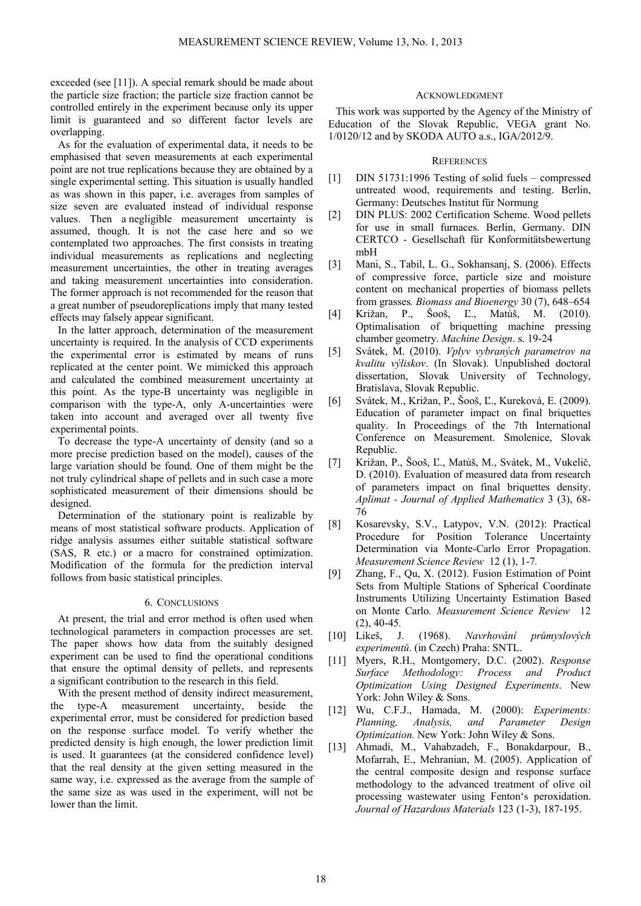exceeded (see [11]). A special remark should be made about the particle size fraction; the particle size fraction cannot be controlled entirely in the experiment because only its upper limit is guaranteed and so different factor levels are overlapping.

As for the evaluation of experimental data, it needs to be emphasised that seven measurements at each experimental point are not true replications because they are obtained by a single experimental setting. This situation is usually handled as was shown in this paper, i.e. averages from samples of size seven are evaluated instead of individual response values. Then a negligible measurement uncertainty is assumed, though. It is not the case here and so we contemplated two approaches. The first consists in treating individual measurements as replications and neglecting measurement uncertainties, the other in treating averages and taking measurement uncertainties into consideration. The former approach is not recommended for the reason that a great number of pseudoreplications imply that many tested effects may falsely appear significant.

In the latter approach, determination of the measurement uncertainty is required. In the analysis of CCD experiments the experimental error is estimated by means of runs replicated at the center point. We mimicked this approach and calculated the combined measurement uncertainty at this point. As the type-B uncertainty was negligible in comparison with the type-A, only A-uncertainties were taken into account and averaged over all twenty five experimental points.

To decrease the type-A uncertainty of density (and so a more precise prediction based on the model), causes of the large variation should be found. One of them might be the not truly cylindrical shape of pellets and in such case a more sophisticated measurement of their dimensions should be designed.

Determination of the stationary point is realizable by means of most statistical software products. Application of ridge analysis assumes either suitable statistical software (SAS, R etc.) or a macro for constrained optimization. Modification of the formula for the prediction interval follows from basic statistical principles.

## 6. CONCLUSIONS

At present, the trial and error method is often used when technological parameters in compaction processes are set. The paper shows how data from the suitably designed experiment can be used to find the operational conditions that ensure the optimal density of pellets, and represents a significant contribution to the research in this field.

With the present method of density indirect measurement, the type-A measurement uncertainty, beside the experimental error, must be considered for prediction based on the response surface model. To verify whether the predicted density is high enough, the lower prediction limit is used. It guarantees (at the considered confidence level) that the real density at the given setting measured in the same way, i.e. expressed as the average from the sample of the same size as was used in the experiment, will not be lower than the limit.

### ACKNOWLEDGMENT

This work was supported by the Agency of the Ministry of Education of the Slovak Republic, VEGA grant No. 1/0120/12 and by SKODA AUTO a.s., IGA/2012/9.

### **REFERENCES**

- [1] DIN 51731:1996 Testing of solid fuels compressed untreated wood, requirements and testing. Berlin, Germany: Deutsches Institut für Normung
- [2] DIN PLUS: 2002 Certification Scheme. Wood pellets for use in small furnaces. Berlin, Germany. DIN CERTCO - Gesellschaft für Konformitätsbewertung mbH
- [3] Mani, S., Tabil, L. G., Sokhansanj, S. (2006). Effects of compressive force, particle size and moisture content on mechanical properties of biomass pellets from grasses*. Biomass and Bioenergy* 30 (7), 648–654
- [4] Križan, P., Šooš, Ľ., Matúš, M. (2010). Optimalisation of briquetting machine pressing chamber geometry. *Machine Design*. s. 19-24
- [5] Svátek, M. (2010). *Vplyv vybraných parametrov na kvalitu výliskov*. (In Slovak). Unpublished doctoral dissertation, Slovak University of Technology, Bratislava, Slovak Republic.
- [6] Svátek, M., Križan, P., Šooš, Ľ., Kureková, E. (2009). Education of parameter impact on final briquettes quality. In Proceedings of the 7th International Conference on Measurement. Smolenice, Slovak Republic.
- [7] Križan, P., Šooš, Ľ., Matúš, M., Svátek, M., Vukelič, D. (2010). Evaluation of measured data from research of parameters impact on final briquettes density. *Aplimat - Journal of Applied Mathematics* 3 (3), 68- 76
- [8] Kosarevsky, S.V., Latypov, V.N. (2012): Practical Procedure for Position Tolerance Uncertainty Determination via Monte-Carlo Error Propagation. *Measurement Science Review* 12 (1), 1-7*.*
- [9] Zhang, F., Qu, X. (2012). Fusion Estimation of Point Sets from Multiple Stations of Spherical Coordinate Instruments Utilizing Uncertainty Estimation Based on Monte Carlo*. Measurement Science Review* 12 (2), 40-45*.*
- [10] Likeš, J. (1968). *Navrhování průmyslových experimentů*. (in Czech) Praha: SNTL.
- [11] Myers, R.H., Montgomery, D.C. (2002). *Response Surface Methodology: Process and Product Optimization Using Designed Experiments*. New York: John Wiley & Sons.
- [12] Wu, C.F.J., Hamada, M. (2000): *Experiments: Planning, Analysis, and Parameter Design Optimization.* New York: John Wiley & Sons.
- [13] Ahmadi, M., Vahabzadeh, F., Bonakdarpour, B., Mofarrah, E., Mehranian, M. (2005). Application of the central composite design and response surface methodology to the advanced treatment of olive oil processing wastewater using Fenton's peroxidation. *Journal of Hazardous Materials* 123 (1-3), 187-195.